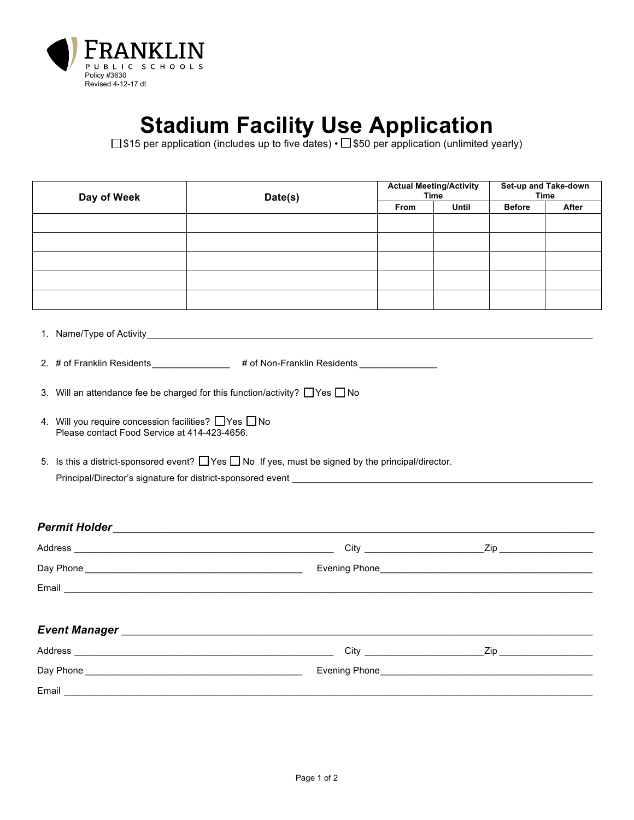

## **Stadium Facility Use Application**

 $\square$ \$15 per application (includes up to five dates) •  $\square$  \$50 per application (unlimited yearly)

| Day of Week                                                                                         | Date(s)                                                                                                       | <b>Actual Meeting/Activity</b><br><b>Time</b> |              | Set-up and Take-down<br><b>Time</b> |       |
|-----------------------------------------------------------------------------------------------------|---------------------------------------------------------------------------------------------------------------|-----------------------------------------------|--------------|-------------------------------------|-------|
|                                                                                                     |                                                                                                               | From                                          | <b>Until</b> | <b>Before</b>                       | After |
|                                                                                                     |                                                                                                               |                                               |              |                                     |       |
|                                                                                                     |                                                                                                               |                                               |              |                                     |       |
|                                                                                                     |                                                                                                               |                                               |              |                                     |       |
|                                                                                                     |                                                                                                               |                                               |              |                                     |       |
|                                                                                                     |                                                                                                               |                                               |              |                                     |       |
|                                                                                                     |                                                                                                               |                                               |              |                                     |       |
| 2. # of Franklin Residents _________________ # of Non-Franklin Residents ________                   |                                                                                                               |                                               |              |                                     |       |
|                                                                                                     | 3. Will an attendance fee be charged for this function/activity? $\Box$ Yes $\Box$ No                         |                                               |              |                                     |       |
| 4. Will you require concession facilities? Thes Tho<br>Please contact Food Service at 414-423-4656. |                                                                                                               |                                               |              |                                     |       |
|                                                                                                     | 5. Is this a district-sponsored event? $\Box$ Yes $\Box$ No If yes, must be signed by the principal/director. |                                               |              |                                     |       |
|                                                                                                     | Principal/Director's signature for district-sponsored event _____________________                             |                                               |              |                                     |       |
|                                                                                                     |                                                                                                               |                                               |              |                                     |       |
|                                                                                                     |                                                                                                               |                                               |              |                                     |       |
|                                                                                                     |                                                                                                               |                                               |              |                                     |       |
|                                                                                                     |                                                                                                               |                                               |              |                                     |       |
|                                                                                                     |                                                                                                               |                                               |              |                                     |       |
|                                                                                                     |                                                                                                               |                                               |              |                                     |       |

| <b>Event Manager</b> |                                                                          |     |  |  |  |  |
|----------------------|--------------------------------------------------------------------------|-----|--|--|--|--|
| Address              | Citv                                                                     | 7in |  |  |  |  |
| Day Phone            | Evening Phone<br><u> 1980 - Jan Sterling, Amerikaansk konstantiner (</u> |     |  |  |  |  |
| Email                |                                                                          |     |  |  |  |  |